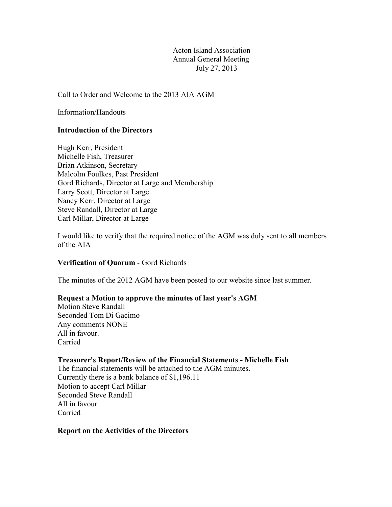Acton Island Association Annual General Meeting July 27, 2013

Call to Order and Welcome to the 2013 AIA AGM

Information/Handouts

## **Introduction of the Directors**

Hugh Kerr, President Michelle Fish, Treasurer Brian Atkinson, Secretary Malcolm Foulkes, Past President Gord Richards, Director at Large and Membership Larry Scott, Director at Large Nancy Kerr, Director at Large Steve Randall, Director at Large Carl Millar, Director at Large

I would like to verify that the required notice of the AGM was duly sent to all members of the AIA

#### **Verification of Quorum** - Gord Richards

The minutes of the 2012 AGM have been posted to our website since last summer.

#### **Request a Motion to approve the minutes of last year's AGM**

Motion Steve Randall Seconded Tom Di Gacimo Any comments NONE All in favour. Carried

### **Treasurer's Report/Review of the Financial Statements - Michelle Fish**

The financial statements will be attached to the AGM minutes. Currently there is a bank balance of \$1,196.11 Motion to accept Carl Millar Seconded Steve Randall All in favour Carried

#### **Report on the Activities of the Directors**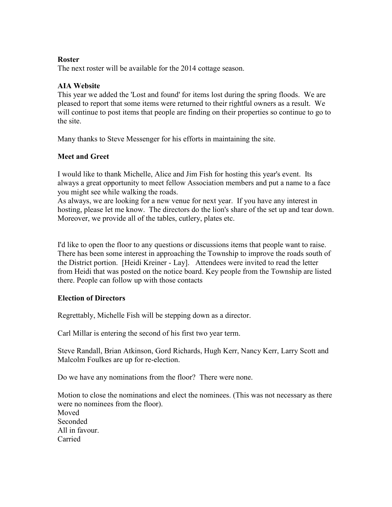#### **Roster**

The next roster will be available for the 2014 cottage season.

### **AIA Website**

This year we added the 'Lost and found' for items lost during the spring floods. We are pleased to report that some items were returned to their rightful owners as a result. We will continue to post items that people are finding on their properties so continue to go to the site.

Many thanks to Steve Messenger for his efforts in maintaining the site.

## **Meet and Greet**

I would like to thank Michelle, Alice and Jim Fish for hosting this year's event. Its always a great opportunity to meet fellow Association members and put a name to a face you might see while walking the roads.

As always, we are looking for a new venue for next year. If you have any interest in hosting, please let me know. The directors do the lion's share of the set up and tear down. Moreover, we provide all of the tables, cutlery, plates etc.

I'd like to open the floor to any questions or discussions items that people want to raise. There has been some interest in approaching the Township to improve the roads south of the District portion. [Heidi Kreiner - Lay]. Attendees were invited to read the letter from Heidi that was posted on the notice board. Key people from the Township are listed there. People can follow up with those contacts

## **Election of Directors**

Regrettably, Michelle Fish will be stepping down as a director.

Carl Millar is entering the second of his first two year term.

Steve Randall, Brian Atkinson, Gord Richards, Hugh Kerr, Nancy Kerr, Larry Scott and Malcolm Foulkes are up for re-election.

Do we have any nominations from the floor? There were none.

Motion to close the nominations and elect the nominees. (This was not necessary as there were no nominees from the floor). Moved Seconded All in favour. Carried